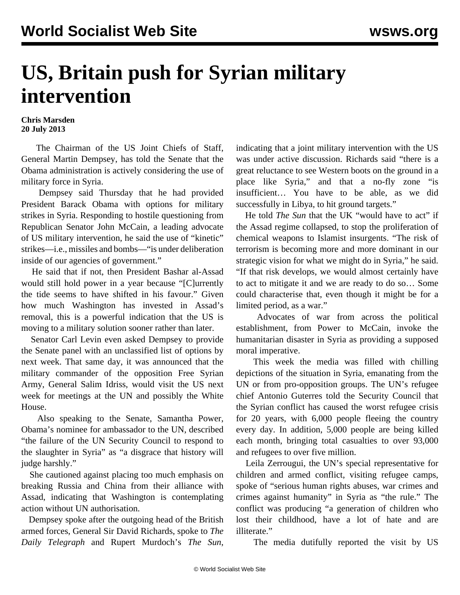## **US, Britain push for Syrian military intervention**

**Chris Marsden 20 July 2013**

 The Chairman of the US Joint Chiefs of Staff, General Martin Dempsey, has told the Senate that the Obama administration is actively considering the use of military force in Syria.

 Dempsey said Thursday that he had provided President Barack Obama with options for military strikes in Syria. Responding to hostile questioning from Republican Senator John McCain, a leading advocate of US military intervention, he said the use of "kinetic" strikes—i.e., missiles and bombs—"is under deliberation inside of our agencies of government."

 He said that if not, then President Bashar al-Assad would still hold power in a year because "[C]urrently the tide seems to have shifted in his favour." Given how much Washington has invested in Assad's removal, this is a powerful indication that the US is moving to a military solution sooner rather than later.

 Senator Carl Levin even asked Dempsey to provide the Senate panel with an unclassified list of options by next week. That same day, it was announced that the military commander of the opposition Free Syrian Army, General Salim Idriss, would visit the US next week for meetings at the UN and possibly the White House.

 Also speaking to the Senate, Samantha Power, Obama's nominee for ambassador to the UN, described "the failure of the UN Security Council to respond to the slaughter in Syria" as "a disgrace that history will judge harshly."

 She cautioned against placing too much emphasis on breaking Russia and China from their alliance with Assad, indicating that Washington is contemplating action without UN authorisation.

 Dempsey spoke after the outgoing head of the British armed forces, General Sir David Richards, spoke to *The Daily Telegraph* and Rupert Murdoch's *The Sun*, indicating that a joint military intervention with the US was under active discussion. Richards said "there is a great reluctance to see Western boots on the ground in a place like Syria," and that a no-fly zone "is insufficient… You have to be able, as we did successfully in Libya, to hit ground targets."

 He told *The Sun* that the UK "would have to act" if the Assad regime collapsed, to stop the proliferation of chemical weapons to Islamist insurgents. "The risk of terrorism is becoming more and more dominant in our strategic vision for what we might do in Syria," he said. "If that risk develops, we would almost certainly have to act to mitigate it and we are ready to do so… Some could characterise that, even though it might be for a limited period, as a war."

 Advocates of war from across the political establishment, from Power to McCain, invoke the humanitarian disaster in Syria as providing a supposed moral imperative.

 This week the media was filled with chilling depictions of the situation in Syria, emanating from the UN or from pro-opposition groups. The UN's refugee chief Antonio Guterres told the Security Council that the Syrian conflict has caused the worst refugee crisis for 20 years, with 6,000 people fleeing the country every day. In addition, 5,000 people are being killed each month, bringing total casualties to over 93,000 and refugees to over five million.

 Leila Zerrougui, the UN's special representative for children and armed conflict, visiting refugee camps, spoke of "serious human rights abuses, war crimes and crimes against humanity" in Syria as "the rule." The conflict was producing "a generation of children who lost their childhood, have a lot of hate and are illiterate."

The media dutifully reported the visit by US